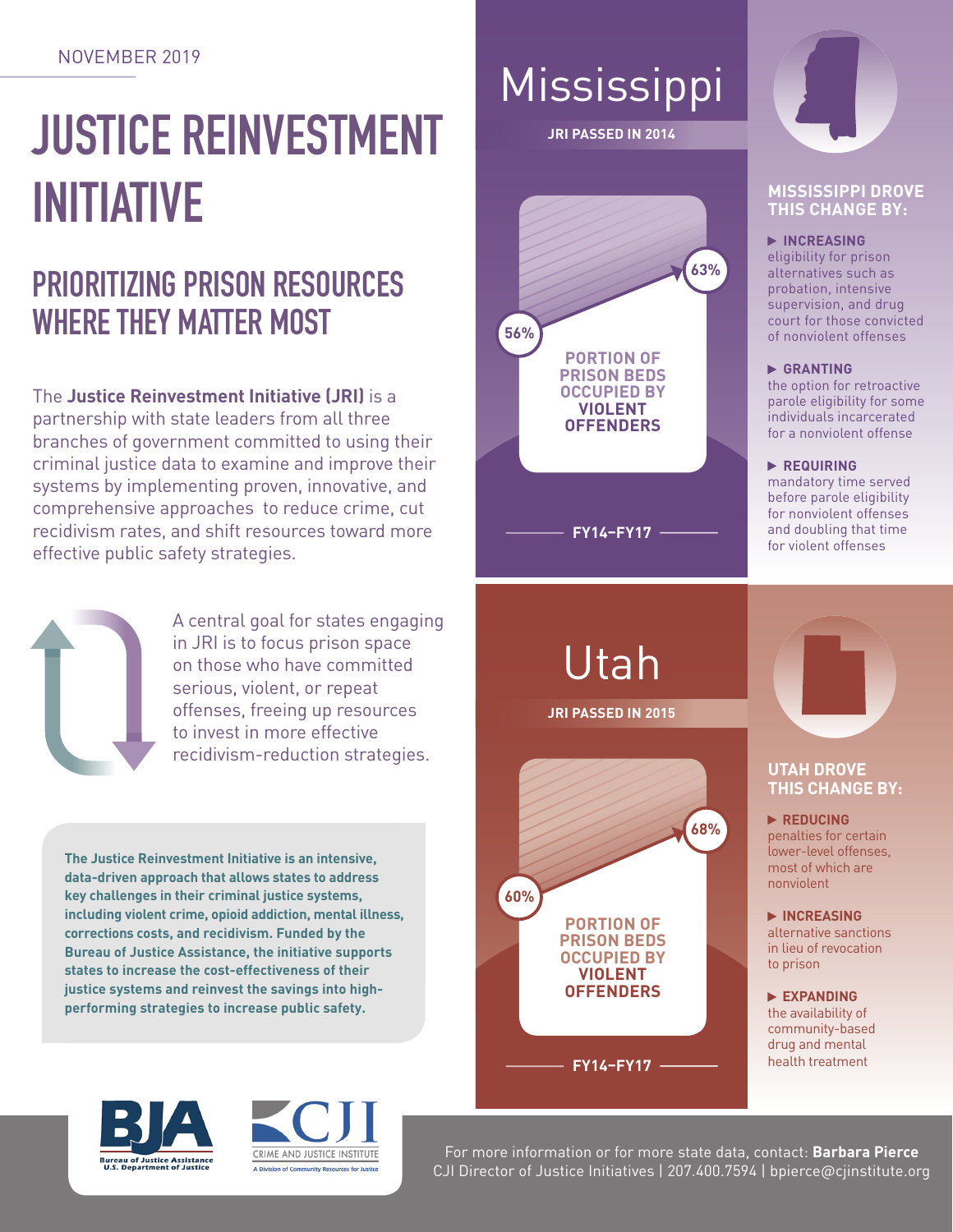#### NOVEMBER 2019

# **JUSTICE REINVESTMENT INITIATIVE**

## **PRIORITIZING PRISON RESOURCES WHERE THEY MATTER MOST**

The **Justice Reinvestment Initiative (JRI)** is a partnership with state leaders from all three branches of government committed to using their criminal justice data to examine and improve their systems by implementing proven, innovative, and comprehensive approaches to reduce crime, cut recidivism rates, and shift resources toward more effective public safety strategies.



A central goal for states engaging in JRI is to focus prison space on those who have committed serious, violent, or repeat offenses, freeing up resources to invest in more effective recidivism-reduction strategies.

**The Justice Reinvestment Initiative is an intensive, data-driven approach that allows states to address key challenges in their criminal justice systems, including violent crime, opioid addiction, mental illness, corrections costs, and recidivism. Funded by the Bureau of Justice Assistance, the initiative supports states to increase the cost-effectiveness of their justice systems and reinvest the savings into highperforming strategies to increase public safety.** 





## Mississippi

**JRI PASSED IN 2014**





#### **MISSISSIPPI DROVE THIS CHANGE BY:**

 **INCREASING**

eligibility for prison alternatives such as probation, intensive supervision, and drug court for those convicted of nonviolent offenses

#### **GRANTING**

the option for retroactive parole eligibility for some individuals incarcerated for a nonviolent offense

 **REQUIRING** 

mandatory time served before parole eligibility for nonviolent offenses and doubling that time for violent offenses

Utah

**JRI PASSED IN 2015**





#### **UTAH DROVE THIS CHANGE BY:**

 **REDUCING**  penalties for certain lower-level offenses, most of which are nonviolent

 **INCREASING** alternative sanctions in lieu of revocation to prison

 **EXPANDING** the availability of community-based drug and mental health treatment

For more information or for more state data, contact: **Barbara Pierce** CJI Director of Justice Initiatives | 207.400.7594 | bpierce@cjinstitute.org